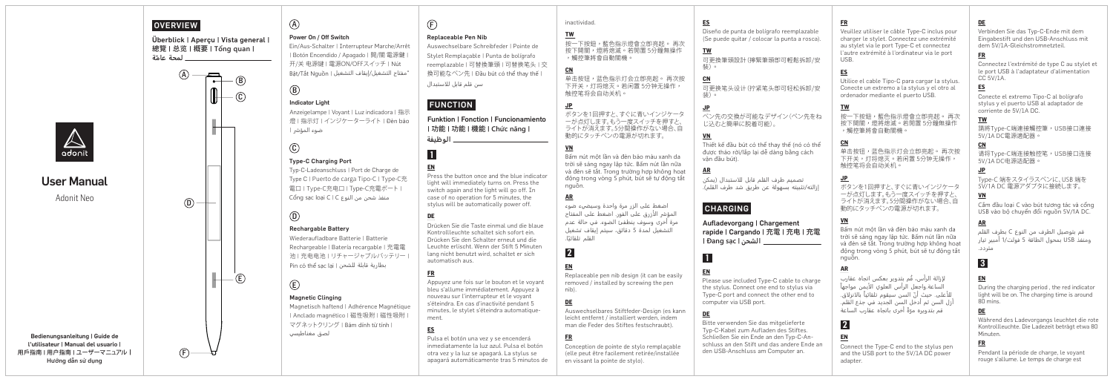| $\mathbb{A}_{\text{adoint}}$<br><b>User Manual</b><br>Adonit Neo<br>Bedienungsanleitung   Guide de<br>l'utilisateur   Manual del usuario | <b>OVERVIEW</b><br>Überblick   Apercu   Vista general<br>總覽   总览   概要   Tổng quan  <br>ـ لمحة عامّة<br>(A)<br>冎<br>$-$ (B)<br>$-\bigcirc$<br>$\circled{D}$<br>$(\mathsf{E})$ | $\circledA$<br>Power On / Off Switch<br>Ein/Aus-Schalter   Interrupteur Marche/Arrêt<br>  Botón Encendido / Apagado   開/關電源鍵<br>开/关 电源键   電源ON/OFFスイッチ   Nút<br>"مفتاح التشغيل/إيقاف التشغيل   Bật/Tắt Nguồn<br>$^{\circledR}$<br><b>Indicator Light</b><br>Anzeigelampe   Voyant   Luz indicadora   指示<br>燈   指示灯   インジケーターライト   Đèn báo<br>ضوء المؤشر  <br>$\circledcirc$<br><b>Type-C Charging Port</b><br>Typ-C-Ladeanschluss   Port de Charge de<br>Type C   Puerto de carga Tipo-C   Type-C充<br>電口   Type-C充电口   Type-C充電ポート  <br>Cổng sạc loại C   C منفذ شحن من النوع<br>$\circledcirc$<br><b>Rechargable Battery</b><br>Wiederaufladbare Batterie   Batterie<br>Rechargeable   Batería recargable   充電電<br>池   充电电池   リチャージャブルバッテリー<br>Pin có thể sạc lại   بطارية قابلة للشحن<br>$\bigcirc$<br><b>Magnetic Clinging</b><br>Magnetisch haftend   Adhérence Magnétique<br>  Anclado magnético   磁性吸附   磁性吸附<br>マグネットクリング I Bám dính từ tính I<br>لصق مغناطيسي | (F)<br><b>Replaceable Pen Nib</b><br>Auswechselbare Schreibfeder   Pointe de<br>Stylet Remplacable   Punta de bolígrafo<br>reemplazable   可替換筆頭   可替换笔头   交<br>換可能なペン先   Đầu bút có thể thay thế  <br>سن قلم قابل للاستبدال<br><b>FUNCTION</b><br><b>Funktion   Fonction   Funcionamiento</b><br> 功能   功能   機能   Chức năng  <br>ـ الوظيفة<br>$\vert$ 1<br>EN<br>Press the button once and the blue indicator<br>light will immediately turns on. Press the<br>switch again and the light will go off. In<br>case of no operation for 5 minutes, the<br>stylus will be automatically power off.<br>DE<br>Drücken Sie die Taste einmal und die blaue<br>Kontrollleuchte schaltet sich sofort ein.<br>Drücken Sie den Schalter erneut und die<br>Leuchte erlischt. Wenn der Stift 5 Minuten<br>lang nicht benutzt wird, schaltet er sich<br>automatisch aus.<br>Appuyez une fois sur le bouton et le voyant<br>bleu s'allume immédiatement. Appuyez à<br>nouveau sur l'interrupteur et le voyant<br>s'éteindra. En cas d'inactivité pendant 5<br>minutes, le stylet s'éteindra automatique-<br>ment.<br><b>ES</b><br>Pulsa el botón una vez y se encenderá<br>inmediatamente la luz azul. Pulsa el botón | inactividad.<br><b>TW</b><br>按一下按鈕,藍色指示燈會立卽亮起。 再次<br>按下開關,燈將熄滅。若閒置 5分鐘無操作<br>,觸控筆將會自動關機。<br>CN<br>单击按钮,蓝色指示灯会立即亮起。 再次按<br>下开关,灯将熄灭。若闲置 5分钟无操作,<br>触控笔将会自动关机。<br><u>JP</u><br>ボタンを1回押すと、すぐに青いインジケータ<br>一が点灯します。もう一度スイッチを押すと、<br>ライトが消えます。5分間操作がない場合、自<br>動的にタッチペンの電源が切れます。<br>VN<br>Bấm nút một lần và đèn báo màu xanh da<br>trời sẽ sáng ngay lập tức. Bấm nút lần nữa<br>và đèn sẽ tắt. Trong trường hợp không hoạt<br>đông trong vòng 5 phút, bút sẽ tư đông tắt<br>nguồn.<br><b>AR</b><br>اضغط على الزر مرة واحدة وسيضىء ضوء<br>المؤشر الأزرق على الفور. اضغط على المفتاح<br>مرة أخرى وسوف ينطفئ الضوء. في حالة عدم<br>التشغيل لمدة 5 دقائق، سيتم إيقاف تشغيل<br>القلم تلقائتا.<br>$\overline{2}$<br><b>EN</b><br>Replaceable pen nib design (it can be easily<br>removed / installed by screwing the pen<br>nib).<br>DE<br>Auswechselbares Stiftfeder-Design (es kann<br>leicht entfernt / installiert werden, indem<br>man die Feder des Stiftes festschraubt).<br><b>FR</b><br>Conception de pointe de stylo remplaçable | ES<br>Diseño de punta de bolígrafo reemplazable<br>(Se puede quitar / colocar la punta a rosca).<br>TW<br>可更換筆頭設計 (擰緊筆頭卽可輕鬆拆卸/安<br>奘)。<br>CN<br>可更换笔头设计(拧紧笔头卽可轻松拆卸/安<br>装)。<br><b>JP</b><br>ペン先の交換が可能なデザイン(ペン先をね<br>じ込むと簡単に脱着可能)。<br>VN<br>Thiết kế đầu bút có thể thay thế (nó có thể<br>được tháo rời/lắp lai dễ dàng bằng cách<br>văn đầu bút).<br><b>AR</b><br>تصميم طرف القلم قابل للاستبدال (يمكن<br>إزالته/تثبيته بسهولة عن طريق شد طرف القلم).<br><b>CHARGING</b><br>Aufladevorgang   Chargement<br>rapide   Cargando   充電   充电   充電<br>. الشحن   Đang sạc  <br>$\overline{1}$<br>Please use included Type-C cable to charge<br>the stylus. Connect one end to stylus via<br>Type-C port and connect the other end to<br>computer via USB port.<br>Bitte verwenden Sie das mitgelieferte<br>Typ-C-Kabel zum Aufladen des Stiftes.<br>Schließen Sie ein Ende an den Tvp-C-An-<br>schluss an den Stift und das andere Ende an | <b>FR</b><br>Veuillez utiliser le câble Type-C inclus pour<br>charger le stylet. Connectez une extrémité<br>au stylet via le port Type-C et connectez<br>l'autre extrémité à l'ordinateur via le port<br>USB.<br>ES<br>Utilice el cable Tipo-C para cargar la stylus.<br>Conecte un extremo a la stylus y el otro al<br>ordenador mediante el puerto USB.<br>TW<br>按一下按鈕,藍色指示燈會立卽亮起。 再次<br>按下開關,燈將熄滅。若閒置5分鐘無操作<br>,觸控筆將會自動關機<br>C <sub>N</sub><br>单击按钮,蓝色指示灯会立即亮起。 再次按<br>下开关,灯将熄灭。若闲置 5分钟无操作,<br>触控笔将会自动关机。<br><u>JP</u><br>ボタンを1回押すと、すぐに青いインジケータ<br>ーが点灯します。もう一度スイッチを押すと、<br>ライトが消えます。5分間操作がない場合、自<br>動的にタッチペンの電源が切れます。<br><u>VN</u><br>Bấm nút một lần và đèn báo màu xanh da<br>trời sẽ sáng ngay lập tức. Bấm nút lần nữa<br>và đèn sẽ tắt. Trong trường hợp không hoạt<br>đông trong vòng 5 phút, bút sẽ tư đông tắt<br>nguồn.<br>لإزالة الرأس، قُم بتدوير بعكس اتجاه عقارب<br>الساعة.واجعل الرأس العلوي الأيمن مواجهاً<br>للأعلى. حيث أنّ السن سيقوم تلقائياً بالانزلاق.<br>أزل السن ثم أدخل السن الجديد في جذع القلم.<br>قم بتدويره مرّةً أخرى باتجاه عقارب الساعة<br>$\overline{2}$<br>Connect the Type-C end to the stylus pen | DE<br>Verbinden Sie das Typ-C-Ende mit dem<br>Eingabestift und den USB-Anschluss mit<br>dem 5V/1A-Gleichstromnetzteil.<br>Connectez l'extrémité de type C au stylet et<br>le port USB à l'adaptateur d'alimentation<br>CC 5V/1A.<br><b>ES</b><br>Conecte el extremo Tipo-C al bolígrafo<br>stylus y el puerto USB al adaptador de<br>corriente de 5V/1A DC.<br>TW<br>請將Type-C端連接觸控筆,USB接口連接<br>5V/1ADC電源適配器。<br><b>CN</b><br>请将Type-C端连接触控笔,USB接口连接<br>5V/1A DC电源适配器。<br><b>JP</b><br>Tvpe-C 端をスタイラスペンに、USB 端を<br>5V/1ADC 電源アダプタに接続します。<br>VN<br>Cắm đầu loại C vào bút tương tác và cổng<br>USB vào bô chuyển đổi nguồn 5V/1A DC.<br><b>AR</b><br>قم بتوصيل الطرف من النوع C بطرف القلم<br>ومنفذ USB بمحول الطاقة 5 فولت/1 أمبير تيار<br>متر د د.<br>$\vert 3 \vert$<br>EN<br>During the charging period, the red indicator<br>light will be on. The charging time is around<br>80 mins.<br><b>DE</b><br>Während des Ladevorgangs leuchtet die rote<br>Kontrollleuchte. Die Ladezeit beträgt etwa 80<br>Minuten.<br><b>FR</b> |
|------------------------------------------------------------------------------------------------------------------------------------------|------------------------------------------------------------------------------------------------------------------------------------------------------------------------------|-----------------------------------------------------------------------------------------------------------------------------------------------------------------------------------------------------------------------------------------------------------------------------------------------------------------------------------------------------------------------------------------------------------------------------------------------------------------------------------------------------------------------------------------------------------------------------------------------------------------------------------------------------------------------------------------------------------------------------------------------------------------------------------------------------------------------------------------------------------------------------------------------------------------------------------------------------------------------|-------------------------------------------------------------------------------------------------------------------------------------------------------------------------------------------------------------------------------------------------------------------------------------------------------------------------------------------------------------------------------------------------------------------------------------------------------------------------------------------------------------------------------------------------------------------------------------------------------------------------------------------------------------------------------------------------------------------------------------------------------------------------------------------------------------------------------------------------------------------------------------------------------------------------------------------------------------------------------------------------------------------------------------------------------------------------------------------------------------------------------------------------------------------------------------------------------|---------------------------------------------------------------------------------------------------------------------------------------------------------------------------------------------------------------------------------------------------------------------------------------------------------------------------------------------------------------------------------------------------------------------------------------------------------------------------------------------------------------------------------------------------------------------------------------------------------------------------------------------------------------------------------------------------------------------------------------------------------------------------------------------------------------------------------------------------------------------------------------------------------------------------------------------------------------------------------------------------------------------------------|-------------------------------------------------------------------------------------------------------------------------------------------------------------------------------------------------------------------------------------------------------------------------------------------------------------------------------------------------------------------------------------------------------------------------------------------------------------------------------------------------------------------------------------------------------------------------------------------------------------------------------------------------------------------------------------------------------------------------------------------------------------------------------------------------------------------------------------------------------------------------------------------------------------------------------------|------------------------------------------------------------------------------------------------------------------------------------------------------------------------------------------------------------------------------------------------------------------------------------------------------------------------------------------------------------------------------------------------------------------------------------------------------------------------------------------------------------------------------------------------------------------------------------------------------------------------------------------------------------------------------------------------------------------------------------------------------------------------------------------------------------------------------------------------------------------------------------------------------------------------------------------------------------------------------------------------------------------------------------------------------------------------------------------------------------------------------------------|--------------------------------------------------------------------------------------------------------------------------------------------------------------------------------------------------------------------------------------------------------------------------------------------------------------------------------------------------------------------------------------------------------------------------------------------------------------------------------------------------------------------------------------------------------------------------------------------------------------------------------------------------------------------------------------------------------------------------------------------------------------------------------------------------------------------------------------------------------------------------------------------------------------------------------------------------------------------------------------------------------------------------------|
| 用戶指南   用户指南   ユーザーマニュアル  <br>Hướng dẫn sử dung                                                                                           | $\bigoplus$                                                                                                                                                                  |                                                                                                                                                                                                                                                                                                                                                                                                                                                                                                                                                                                                                                                                                                                                                                                                                                                                                                                                                                       | otra vez y la luz se apagará. La stylus se<br>apagará automáticamente tras 5 minutos de                                                                                                                                                                                                                                                                                                                                                                                                                                                                                                                                                                                                                                                                                                                                                                                                                                                                                                                                                                                                                                                                                                               | (elle peut être facilement retirée/installée<br>en vissant la pointe de stylo).                                                                                                                                                                                                                                                                                                                                                                                                                                                                                                                                                                                                                                                                                                                                                                                                                                                                                                                                                 | den USB-Anschluss am Computer an.                                                                                                                                                                                                                                                                                                                                                                                                                                                                                                                                                                                                                                                                                                                                                                                                                                                                                                   | and the USB port to the 5V/1A DC power<br>adapter.                                                                                                                                                                                                                                                                                                                                                                                                                                                                                                                                                                                                                                                                                                                                                                                                                                                                                                                                                                                                                                                                                       | Pendant la période de charge, le voyant<br>rouge s'allume. Le temps de charge est                                                                                                                                                                                                                                                                                                                                                                                                                                                                                                                                                                                                                                                                                                                                                                                                                                                                                                                                              |